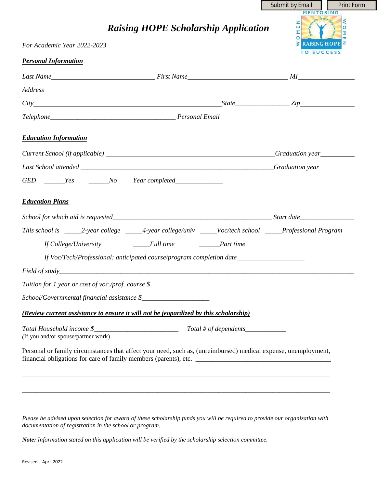|                                                                                                                |                                                                                                                       | Submit by Email                                        | <b>Print Form</b> |
|----------------------------------------------------------------------------------------------------------------|-----------------------------------------------------------------------------------------------------------------------|--------------------------------------------------------|-------------------|
|                                                                                                                | <b>Raising HOPE Scholarship Application</b>                                                                           | MENTORING<br>Rassion<br>z<br>$\overline{M}$<br>$\circ$ | ଽ<br>$\circ$<br>区 |
| For Academic Year 2022-2023                                                                                    |                                                                                                                       | <b>EXALSING HOPE</b><br>TO SUCCESS                     |                   |
| <b>Personal Information</b>                                                                                    |                                                                                                                       |                                                        |                   |
|                                                                                                                |                                                                                                                       |                                                        |                   |
|                                                                                                                |                                                                                                                       |                                                        |                   |
| $City$ $City$ $Type$ $Type$ $Type$                                                                             |                                                                                                                       |                                                        |                   |
|                                                                                                                |                                                                                                                       |                                                        |                   |
| <b>Education Information</b>                                                                                   |                                                                                                                       |                                                        |                   |
|                                                                                                                |                                                                                                                       |                                                        |                   |
|                                                                                                                |                                                                                                                       |                                                        |                   |
| GED ______Yes ______No Year completed______________                                                            |                                                                                                                       |                                                        |                   |
| <b>Education Plans</b>                                                                                         |                                                                                                                       |                                                        |                   |
|                                                                                                                |                                                                                                                       |                                                        |                   |
| This school is ______2-year college ______4-year college/univ _____Voc/tech school _____Professional Program   |                                                                                                                       |                                                        |                   |
| If College/University ______Full time ______Part time                                                          |                                                                                                                       |                                                        |                   |
| If Voc/Tech/Professional: anticipated course/program completion date_____________                              |                                                                                                                       |                                                        |                   |
|                                                                                                                |                                                                                                                       |                                                        |                   |
| Tuition for 1 year or cost of voc./prof. course \$_______________________________                              |                                                                                                                       |                                                        |                   |
|                                                                                                                |                                                                                                                       |                                                        |                   |
| (Review current assistance to ensure it will not be jeopardized by this scholarship)                           |                                                                                                                       |                                                        |                   |
| (If you and/or spouse/partner work)                                                                            |                                                                                                                       |                                                        |                   |
| Personal or family circumstances that affect your need, such as, (unreimbursed) medical expense, unemployment, |                                                                                                                       |                                                        |                   |
|                                                                                                                | ,我们也不能在这里的人,我们也不能在这里的人,我们也不能在这里的人,我们也不能在这里的人,我们也不能在这里的人,我们也不能在这里的人,我们也不能在这里的人,我们也                                     |                                                        |                   |
|                                                                                                                | <u> 1989 - Johann Stoff, deutscher Stoff, der Stoff, der Stoff, der Stoff, der Stoff, der Stoff, der Stoff, der S</u> |                                                        |                   |
|                                                                                                                |                                                                                                                       |                                                        |                   |

*Please be advised upon selection for award of these scholarship funds you will be required to provide our organization with documentation of registration in the school or program.*

*Note: Information stated on this application will be verified by the scholarship selection committee.*